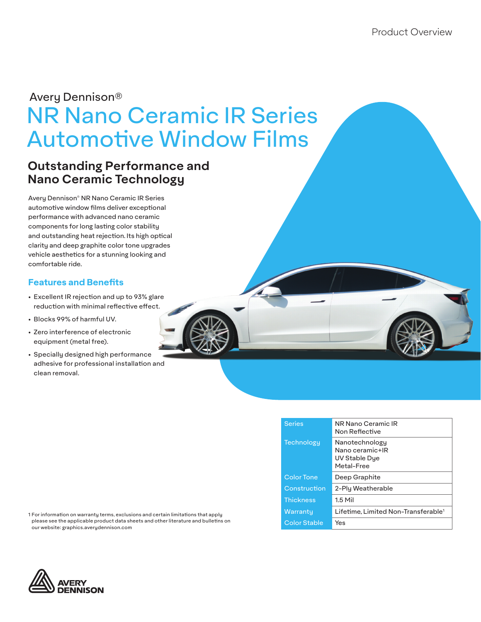# NR Nano Ceramic IR Series Automotive Window Films Avery Dennison®

## **Outstanding Performance and Nano Ceramic Technology**

Avery Dennison® NR Nano Ceramic IR Series automotive window films deliver exceptional performance with advanced nano ceramic components for long lasting color stability and outstanding heat rejection. Its high optical clarity and deep graphite color tone upgrades vehicle aesthetics for a stunning looking and comfortable ride.

## **Features and Benefits**

- Excellent IR rejection and up to 93% glare reduction with minimal reflective effect.
- Blocks 99% of harmful UV.
- Zero interference of electronic equipment (metal free).
- Specially designed high performance adhesive for professional installation and clean removal.

| <b>Series</b>       | NR Nano Ceramic IR<br>Non Reflective                             |
|---------------------|------------------------------------------------------------------|
| Technologu          | Nanotechnology<br>Nano ceramic+IR<br>UV Stable Dye<br>Metal-Free |
| <b>Color Tone</b>   | Deep Graphite                                                    |
| Construction        | 2-Ply Weatherable                                                |
| <b>Thickness</b>    | $1.5$ Mil                                                        |
| Warranty            | Lifetime. Limited Non-Transferable <sup>1</sup>                  |
| <b>Color Stable</b> | Yes                                                              |

1 For information on warranty terms, exclusions and certain limitations that apply please see the applicable product data sheets and other literature and bulletins on our website: graphics.averydennison.com